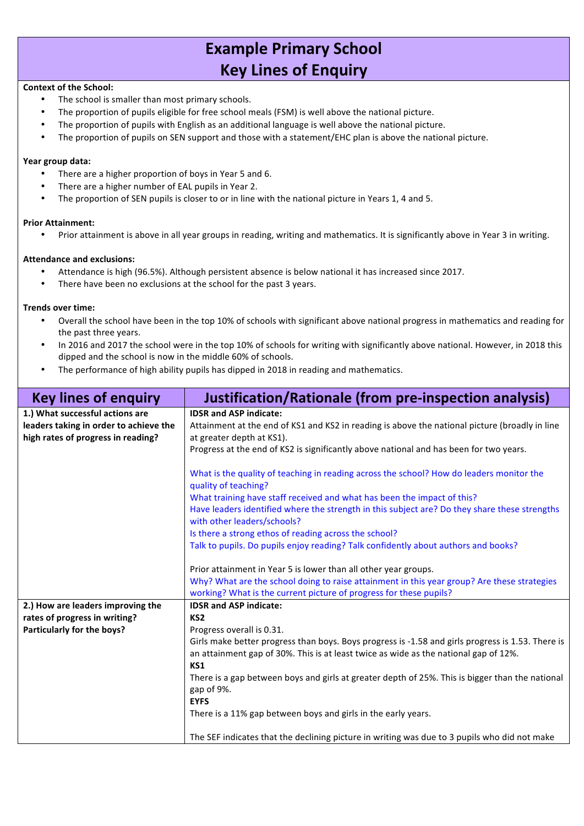# **Example Primary School Key Lines of Enquiry**

## **Context of the School:**

- The school is smaller than most primary schools.
- The proportion of pupils eligible for free school meals (FSM) is well above the national picture.
- The proportion of pupils with English as an additional language is well above the national picture.
- The proportion of pupils on SEN support and those with a statement/EHC plan is above the national picture.

## **Year group data:**

- There are a higher proportion of boys in Year 5 and 6.
- There are a higher number of EAL pupils in Year 2.
- The proportion of SEN pupils is closer to or in line with the national picture in Years 1, 4 and 5.

## **Prior Attainment:**

• Prior attainment is above in all year groups in reading, writing and mathematics. It is significantly above in Year 3 in writing.

## **Attendance and exclusions:**

- Attendance is high (96.5%). Although persistent absence is below national it has increased since 2017.
- There have been no exclusions at the school for the past 3 years.

## **Trends over time:**

- Overall the school have been in the top 10% of schools with significant above national progress in mathematics and reading for the past three years.
- In 2016 and 2017 the school were in the top 10% of schools for writing with significantly above national. However, in 2018 this dipped and the school is now in the middle 60% of schools.
- The performance of high ability pupils has dipped in 2018 in reading and mathematics.

| <b>Key lines of enguiry</b>                                               | Justification/Rationale (from pre-inspection analysis)                                                                                                            |
|---------------------------------------------------------------------------|-------------------------------------------------------------------------------------------------------------------------------------------------------------------|
| 1.) What successful actions are<br>leaders taking in order to achieve the | <b>IDSR and ASP indicate:</b><br>Attainment at the end of KS1 and KS2 in reading is above the national picture (broadly in line                                   |
| high rates of progress in reading?                                        | at greater depth at KS1).<br>Progress at the end of KS2 is significantly above national and has been for two years.                                               |
|                                                                           | What is the quality of teaching in reading across the school? How do leaders monitor the<br>quality of teaching?                                                  |
|                                                                           | What training have staff received and what has been the impact of this?                                                                                           |
|                                                                           | Have leaders identified where the strength in this subject are? Do they share these strengths<br>with other leaders/schools?                                      |
|                                                                           | Is there a strong ethos of reading across the school?                                                                                                             |
|                                                                           | Talk to pupils. Do pupils enjoy reading? Talk confidently about authors and books?                                                                                |
|                                                                           | Prior attainment in Year 5 is lower than all other year groups.                                                                                                   |
|                                                                           | Why? What are the school doing to raise attainment in this year group? Are these strategies<br>working? What is the current picture of progress for these pupils? |
| 2.) How are leaders improving the                                         | <b>IDSR and ASP indicate:</b>                                                                                                                                     |
| rates of progress in writing?                                             | KS <sub>2</sub>                                                                                                                                                   |
| Particularly for the boys?                                                | Progress overall is 0.31.                                                                                                                                         |
|                                                                           | Girls make better progress than boys. Boys progress is -1.58 and girls progress is 1.53. There is                                                                 |
|                                                                           | an attainment gap of 30%. This is at least twice as wide as the national gap of 12%.<br>KS1                                                                       |
|                                                                           | There is a gap between boys and girls at greater depth of 25%. This is bigger than the national<br>gap of 9%.                                                     |
|                                                                           | <b>EYFS</b>                                                                                                                                                       |
|                                                                           | There is a 11% gap between boys and girls in the early years.                                                                                                     |
|                                                                           | The SEF indicates that the declining picture in writing was due to 3 pupils who did not make                                                                      |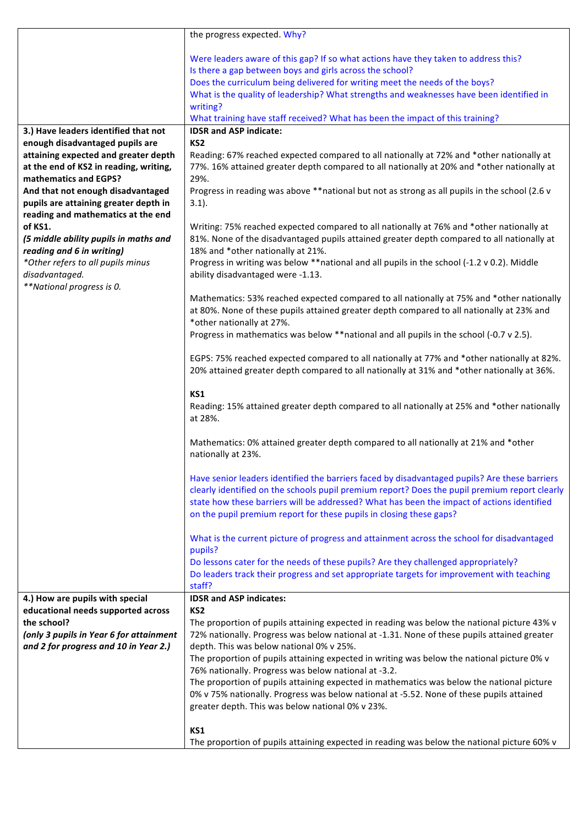|                                                  | the progress expected. Why?                                                                                                                                                            |
|--------------------------------------------------|----------------------------------------------------------------------------------------------------------------------------------------------------------------------------------------|
|                                                  |                                                                                                                                                                                        |
|                                                  | Were leaders aware of this gap? If so what actions have they taken to address this?<br>Is there a gap between boys and girls across the school?                                        |
|                                                  | Does the curriculum being delivered for writing meet the needs of the boys?                                                                                                            |
|                                                  | What is the quality of leadership? What strengths and weaknesses have been identified in                                                                                               |
|                                                  | writing?                                                                                                                                                                               |
|                                                  | What training have staff received? What has been the impact of this training?                                                                                                          |
| 3.) Have leaders identified that not             | <b>IDSR and ASP indicate:</b>                                                                                                                                                          |
| enough disadvantaged pupils are                  | KS <sub>2</sub>                                                                                                                                                                        |
| attaining expected and greater depth             | Reading: 67% reached expected compared to all nationally at 72% and *other nationally at                                                                                               |
| at the end of KS2 in reading, writing,           | 77%. 16% attained greater depth compared to all nationally at 20% and *other nationally at                                                                                             |
| mathematics and EGPS?                            | 29%.                                                                                                                                                                                   |
| And that not enough disadvantaged                | Progress in reading was above **national but not as strong as all pupils in the school (2.6 v                                                                                          |
| pupils are attaining greater depth in            | $3.1$ ).                                                                                                                                                                               |
| reading and mathematics at the end               |                                                                                                                                                                                        |
| of KS1.<br>(5 middle ability pupils in maths and | Writing: 75% reached expected compared to all nationally at 76% and *other nationally at<br>81%. None of the disadvantaged pupils attained greater depth compared to all nationally at |
| reading and 6 in writing)                        | 18% and *other nationally at 21%.                                                                                                                                                      |
| *Other refers to all pupils minus                | Progress in writing was below **national and all pupils in the school (-1.2 v 0.2). Middle                                                                                             |
| disadvantaged.                                   | ability disadvantaged were -1.13.                                                                                                                                                      |
| **National progress is 0.                        |                                                                                                                                                                                        |
|                                                  | Mathematics: 53% reached expected compared to all nationally at 75% and *other nationally                                                                                              |
|                                                  | at 80%. None of these pupils attained greater depth compared to all nationally at 23% and                                                                                              |
|                                                  | *other nationally at 27%.                                                                                                                                                              |
|                                                  | Progress in mathematics was below **national and all pupils in the school (-0.7 v 2.5).                                                                                                |
|                                                  |                                                                                                                                                                                        |
|                                                  | EGPS: 75% reached expected compared to all nationally at 77% and *other nationally at 82%.                                                                                             |
|                                                  | 20% attained greater depth compared to all nationally at 31% and *other nationally at 36%.                                                                                             |
|                                                  | KS1                                                                                                                                                                                    |
|                                                  | Reading: 15% attained greater depth compared to all nationally at 25% and *other nationally                                                                                            |
|                                                  | at 28%.                                                                                                                                                                                |
|                                                  |                                                                                                                                                                                        |
|                                                  | Mathematics: 0% attained greater depth compared to all nationally at 21% and *other                                                                                                    |
|                                                  | nationally at 23%.                                                                                                                                                                     |
|                                                  |                                                                                                                                                                                        |
|                                                  | Have senior leaders identified the barriers faced by disadvantaged pupils? Are these barriers                                                                                          |
|                                                  | clearly identified on the schools pupil premium report? Does the pupil premium report clearly                                                                                          |
|                                                  | state how these barriers will be addressed? What has been the impact of actions identified                                                                                             |
|                                                  | on the pupil premium report for these pupils in closing these gaps?                                                                                                                    |
|                                                  | What is the current picture of progress and attainment across the school for disadvantaged                                                                                             |
|                                                  | pupils?                                                                                                                                                                                |
|                                                  | Do lessons cater for the needs of these pupils? Are they challenged appropriately?                                                                                                     |
|                                                  | Do leaders track their progress and set appropriate targets for improvement with teaching                                                                                              |
|                                                  | staff?                                                                                                                                                                                 |
| 4.) How are pupils with special                  | <b>IDSR and ASP indicates:</b>                                                                                                                                                         |
| educational needs supported across               | KS <sub>2</sub>                                                                                                                                                                        |
| the school?                                      | The proportion of pupils attaining expected in reading was below the national picture 43% v                                                                                            |
| (only 3 pupils in Year 6 for attainment          | 72% nationally. Progress was below national at -1.31. None of these pupils attained greater                                                                                            |
| and 2 for progress and 10 in Year 2.)            | depth. This was below national 0% v 25%.                                                                                                                                               |
|                                                  | The proportion of pupils attaining expected in writing was below the national picture 0% v                                                                                             |
|                                                  | 76% nationally. Progress was below national at -3.2.<br>The proportion of pupils attaining expected in mathematics was below the national picture                                      |
|                                                  | 0% v 75% nationally. Progress was below national at -5.52. None of these pupils attained                                                                                               |
|                                                  | greater depth. This was below national 0% v 23%.                                                                                                                                       |
|                                                  |                                                                                                                                                                                        |
|                                                  | KS1                                                                                                                                                                                    |
|                                                  | The proportion of pupils attaining expected in reading was below the national picture 60% v                                                                                            |